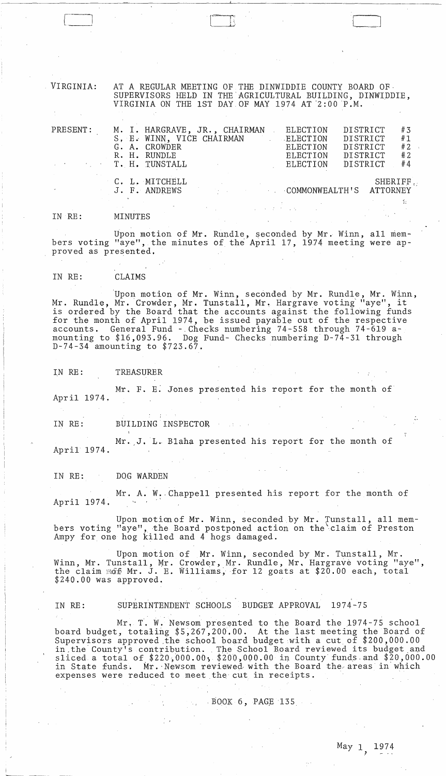VIRGINIA: AT A REGULAR MEETING OF THE DINWIDDIE COUNTY BOARD OF· SUPERVISORS HELD IN THE'AGRICULTURAL BUILDING, DINWIDDIE, VIRGINIA ON THE 1ST DAY OF MAY 1974 AT  $2:00$  P.M.

| PRESENT:<br>T. H. TUNSTALL |  | M. I. HARGRAVE, JR., CHAIRMAN<br>S, E. WINN, VICE CHAIRMAN<br>G. A. CROWDER<br>R. H. RUNDLE |  | ELECTION<br>ELECTION<br>ELECTION<br>ELECTION<br>ELECTION | DISTRICT<br><b>DISTRICT</b><br>DISTRICT<br>DISTRICT | DISTRICT        | #3<br>#1<br>#2<br># 2<br>#4 |
|----------------------------|--|---------------------------------------------------------------------------------------------|--|----------------------------------------------------------|-----------------------------------------------------|-----------------|-----------------------------|
|                            |  | C. L. MITCHELL<br>J. F. ANDREWS                                                             |  | <b>COMMONWEALTH'S</b>                                    |                                                     | <b>ATTORNEY</b> | SHERIFF.                    |

IN RE: MINUTES

Upon motion of Mr. Rundle, seconded by Mr. Winn, all members voting "aye", the minutes of the April 17, 1974 meeting were approved as presented.

IN RE: CLAIMS

Upon motion of Mr. Winn, seconded by Mr. Rundle, Mr. Winn, Mr. Rundle, Mr. Crowder, Mr. Tunstall, Mr. Hargrave voting "aye", it is ordered by the Board that the accounts against the following funds for the month of April 1974, be issued payable out of the respective accounts. General Fund -,Checks numbering 74-558 through 74-619 amounting to \$16,093.96. Dog Fund- Checks numbering D-74-3l through D-74-34 amounting to \$723.67.

IN RE: TREASURER

Mr. F. E. Jones presented his report for the month of April 1974.

IN RE: BUILDING INSPECTOR

.-

Mr. J. L. Blaha presented his report for the month of April 1974.

IN RE: DOG WARDEN

Mr. A. W. Chappell presented his report for the month of April 1974.

Upon motion of Mr. Winn, seconded by Mr. Tunstall, all members voting "aye", the Board postponed action on the claim of Preston Ampy for one hog killed and 4 hogs damaged.

Upon motion of Mr. Winn, seconded by Mr. Tunstall, Mr. Winn, Mr. Tunstall, Mr. Crowder, Mr. Rundle, Mr. Hargrave voting "aye", the claim  $\widehat{\text{mof}}$  Mr. J. E. Williams, for 12 goats at \$20.00 each, total \$240.00 was approved .

IN RE: SUPERINTENDENT SCHOOLS BUDGET APPROVAL 1974-75

Mr. T. W. Newsom presented to the Board the 1974-75 school board budget, totaling \$5,267,200.00. At the last meeting the Board of Supervisors approved .the school board budget with a cut of \$200,000.00 in the County's contribution. The School Board reviewed its budget and sliced a total of  $$220,000.00; $200,000.00$  in County funds and  $$20,000.00$ in State funds. Mr. Newsom reviewed with the Board the areas in which expenses were reduced to meet the cut in receipts .

 $\sim$  BOOK 6, PAGE 135

,.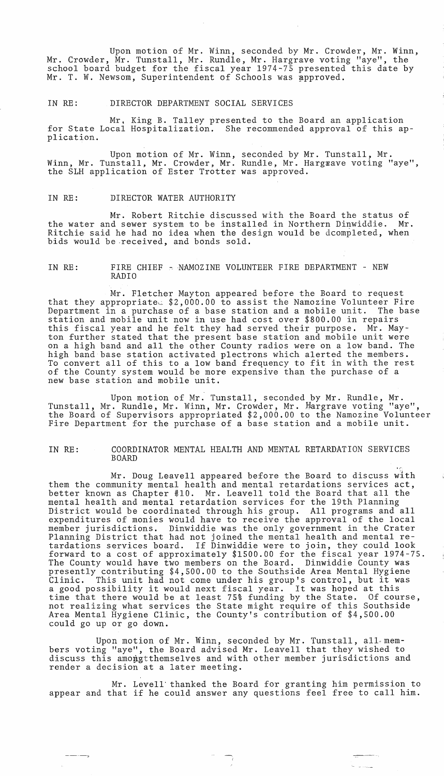Upon motion of Mr. Winn, seconded by Mr. Crowder, Mr. Winn, Mr. Crowder, Mr. Tunstall, Mr. Rundle, Mr. Hargrave voting "aye", the school board budget for the fiscal year 1974~75 presented this date by Mr. T. W. Newsom, Superintendent of Schools was approved.

#### IN RE: DIRECTOR DEPARTMENT SOCIAL SERVICES

Mr, King B. Talley presented to the Board an application for State Local Hospitalization. She recommended approval of this application.

Upon motion of Mr. Winn, seconded by Mr. Tunstall, Mr. Winn, Mr. Tunstall, Mr. Crowder, Mr. Rundle, Mr. Hargxave voting "aye", the SLH application of Ester Trotter was approved.

#### IN RE: DIRECTOR WATER AUTHORITY

Mr. Robert Ritchie discussed with the Board the status of<br>d sewer system to be installed in Northern Dinwiddie. Mr. the water and sewer system to be installed in Northern Dinwiddie. Ritchie said he had no idea when the design would be dcompleted, when bids would be .received, and bonds sold.

## IN RE: FIRE CHIEF - NAMOZINE VOLUNTEER FIRE DEPARTMENT - NEW RADIO

Mr. Fletcher Mayton appeared before the Board to request that they appropriated \$2,000.00 to assist the Namozine Volunteer Fire<br>Department in a purchase of a base station and a mobile unit. The base Department in a purchase of a base station and a mobile unit. station and mobile unit now in use had cost over \$800.00 in repairs this fiscal year and he felt they had served their purpose. ton further stated that the present base station and mobile unit were on a high band and all the other County radios were on a low band. The high band base station activated plectrons which alerted the members. To convert all of this to a low band frequency to fit in with the rest of the County system would be more expensive than the purchase of a new base station and mobile unit.

Upon motion of Mr. Tunstall, seconded by Mr. Rundle, Mr. Tunstall, Mr. Rundle, Mr. Winn, Mr. Crowder, Mr. Hargrave voting "aye", the Board of Supervisors appropriated \$2,000.00 to the Namozine Volunteer Fire Department for the purchase of a base station and a mobile unit.

.,-

الصحاف المراكبة

#### IN RE: COORDINATOR MENTAL HEALTH AND MENTAL RETARDATION SERVICES BOARD

Mr. Doug Leavell appeared before the Board to discuss with them the community mental health and mental retardations services act, better known as Chapter  $#10$ . Mr. Leavell told the Board that all the mental health and mental retardation services for the 19th Planning District would be coordinated through his group. All programs and all expenditures of monies would have to receive the approval of the local member jurisdictions. Dinwiddie was the only government in the Crater Planning District that had not joined the mental health and mental retardations services board. If Dinwiddie were to join, they could look forward to a cost of approximately \$1500.00 for the fiscal year 1974-75. The County would have two members on the Board. Dinwiddie County was presently contributing \$4,500.00 to the Southside Area Mental Hygiene presently contributing \$4,500.00 to the southside Area Mental hygiene<br>Clinic. This unit had not come under his group's control, but it was a good possibility it would next fiscal year. It was hoped at this time that there would be at least 75% funding by the State. Of course, not realizing what services the State might require of this Southside Area Mental Hygiene Clinic, the County's contribution of \$4,500.00 could go up or go down.

Upon motion of Mr. Winn, seconded by Mr. Tunstall, all-members voting "aye", the Board advised Mr. Leavell that they wished to discuss this amongtthemselves and with other member jurisdictions and render a decision at a later meeting.

Mr. Levell'thanked the Board for granting him permission to appear and that if he could answer any questions feel free to call him.

 $\mathbf{q}_1$  .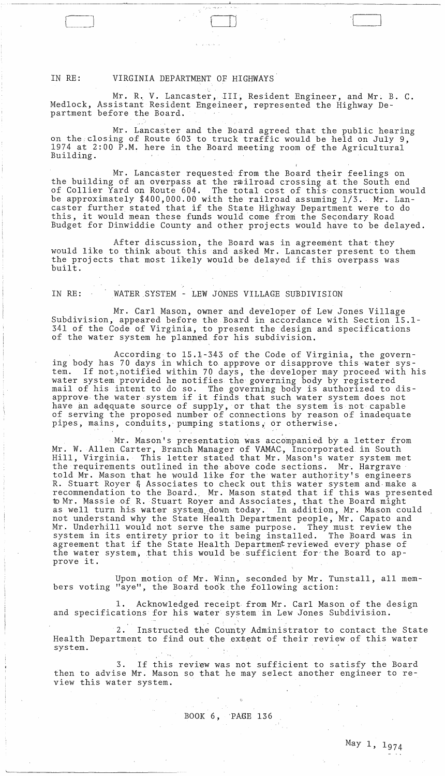#### IN RE: VIRGINIA DEPARTMENT OF HIGHWAYS

Mr. R. V. Lancaster, III, Resident Engineer, and Mr. B. C. Medlock, Assistant Resident Engeineer, represented the Highway Department before the Board.

Mr. Lancaster and the Board agreed that the public hearing on the:closing of Route 603 to truck traffic would be held on July 9, 1974 at 2:00 P.M. here in the Board meeting room of the Agricultural Building.

Mr. Lancaster requested from the Board their feelings on the building of an overpass at the railroad crossing at the South end of Collier Yard on Route 604. The total cost of this· construction would be approximately \$400,000.00 with the railroad assuming 1/3. Mr. Lancaster further stated that if the State Highway Department were to do this, it would mean these funds would come from the Secondary Road Budget for Dinwiddie County and other projects would have to be delayed.

After discussion, the Board was in agreement that they would like to think about this and asked Mr. Lancaster present to them the projects that most likely would be delayed if this overpass was built.

### IN RE: WATER SYSTEM - LEW JONES VILLAGE SUBDIVISION

Mr. Carl Mason, owner and developer of Lew Jones Village Subdivision, appeared before the Board in accordance with Section 15.1- 341 of the Code of Virginia, to present the design and specifications of the water system he planned for his subdivision.

According to 15.1-343 of the Code of Virginia, the governing body has 70 days in which to approve or disapprove this water system. If not, notified within 70 days, the developer may proceed with his water system provided he notifies the governing body by registered mail of his intent to do so. The governing body is authorized to disapprove the water system if it finds that such water system does not have an adequate source of supply, or that the system is not capable of serving the proposed number of connections by reason of inadequate pipes, mains, conduits, pumping stations, or otherwise.

Mr. Mason's presentation was accompanied by a letter from Mr. W. Allen Carter, Branch Manager of VAMAC, Incorporated in South Hill, Virginia. This letter stated that Mr. Mason's water system met the requirements outlined in the above code sections. Mr. Hargrave told Mr. Mason that he would like for the water authority's engineers R. Stuart Royer & Associates to check out this water system and· make a recommendation to the Board. Mr. Mason stated that if this was presented recommendation to the Board. Mr. Mason stated that if this was presented to commensurate the contract of the Royer and Associates, that the Board might as well turn his water system down today. In addition, Mr. Mason could not understand why the State Health Department people, Mr. Capato and Mr. Underhill would not serve the same purpose. They must review the system in its entirety prior to it being installed. The Board was in agreement that if the State Health Department reviewed every phase of the water system, that this would be sufficient for the Board to apthe water<br>prove it.

Upon motion of Mr. Winn, seconded by Mr. Tunstall, all members voting "aye", the Board took the following action:

1. Acknowledged receipt from Mr. Carl Mason of the design and specifications for his water system in Lew Jones Subdivision.

2. Instructed the County Administrator to contact the State Health Department to find out the eXEent of their review of this water system.

3. If this review was not sufficient to satisfy the Board then to advise Mr. Mason so that he may select another engineer to review this water system.

"

# $\sim 10^{11}$ BOOK 6, 'PAGE 136